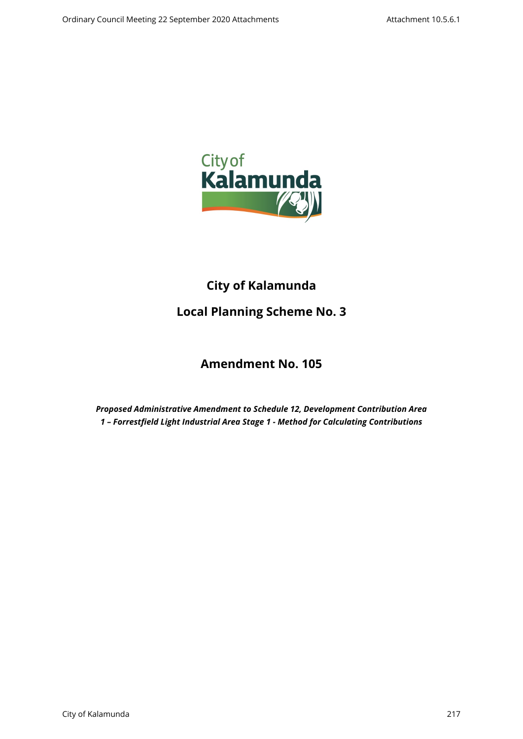

# **City of Kalamunda**

# **Local Planning Scheme No. 3**

## **Amendment No. 105**

*Proposed Administrative Amendment to Schedule 12, Development Contribution Area 1 – Forrestfield Light Industrial Area Stage 1 - Method for Calculating Contributions*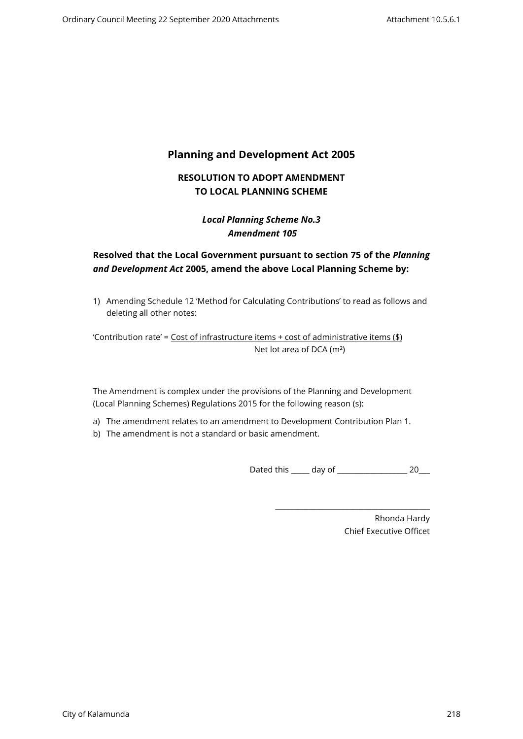## **Planning and Development Act 2005**

## **RESOLUTION TO ADOPT AMENDMENT TO LOCAL PLANNING SCHEME**

## *Local Planning Scheme No.3 Amendment 105*

## **Resolved that the Local Government pursuant to section 75 of the** *Planning and Development Act* **2005, amend the above Local Planning Scheme by:**

1) Amending Schedule 12 'Method for Calculating Contributions' to read as follows and deleting all other notes:

'Contribution rate' =  $Cost of infrastructure items + cost of administrative items ($ math> Net lot area of DCA (m²)

The Amendment is complex under the provisions of the Planning and Development (Local Planning Schemes) Regulations 2015 for the following reason (s):

- a) The amendment relates to an amendment to Development Contribution Plan 1.
- b) The amendment is not a standard or basic amendment.

Dated this day of 20

\_\_\_\_\_\_\_\_\_\_\_\_\_\_\_\_\_\_\_\_\_\_\_\_\_\_\_\_\_\_\_\_\_\_\_\_\_\_\_\_\_\_

Rhonda Hardy Chief Executive Officet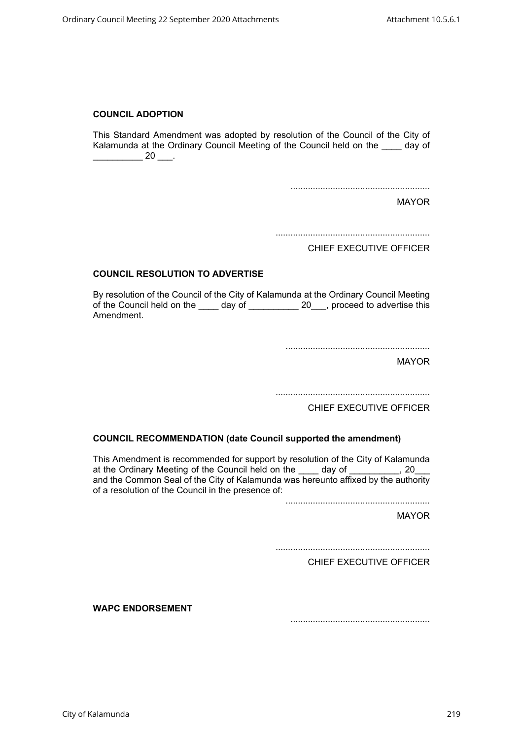#### **COUNCIL ADOPTION**

This Standard Amendment was adopted by resolution of the Council of the City of Kalamunda at the Ordinary Council Meeting of the Council held on the \_\_\_\_ day of  $\frac{1}{20}$  20  $\frac{1}{20}$ .

........................................................

MAYOR

..............................................................

CHIEF EXECUTIVE OFFICER

#### **COUNCIL RESOLUTION TO ADVERTISE**

By resolution of the Council of the City of Kalamunda at the Ordinary Council Meeting of the Council held on the day of 20 proceed to advertise this Amendment.

..........................................................

MAYOR

..............................................................

CHIEF EXECUTIVE OFFICER

#### **COUNCIL RECOMMENDATION (date Council supported the amendment)**

This Amendment is recommended for support by resolution of the City of Kalamunda at the Ordinary Meeting of the Council held on the day of the Council needs on the day of the Council needs and and the Common Seal of the City of Kalamunda was hereunto affixed by the authority of a resolution of the Council in the presence of:

..........................................................

MAYOR

..............................................................

CHIEF EXECUTIVE OFFICER

**WAPC ENDORSEMENT** 

........................................................